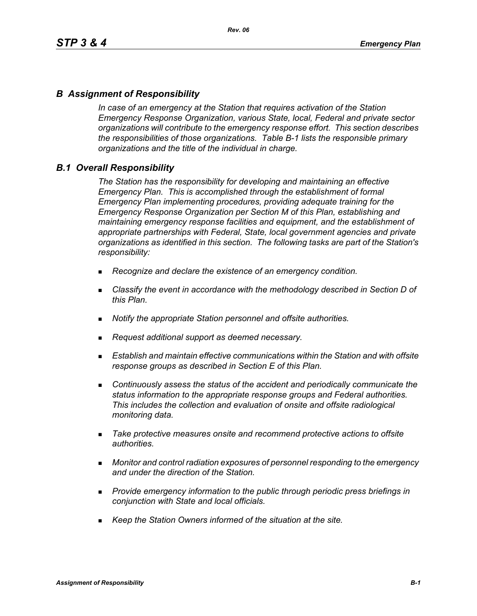# *B Assignment of Responsibility*

*In case of an emergency at the Station that requires activation of the Station Emergency Response Organization, various State, local, Federal and private sector organizations will contribute to the emergency response effort. This section describes the responsibilities of those organizations. Table B-1 lists the responsible primary organizations and the title of the individual in charge.*

### *B.1 Overall Responsibility*

*The Station has the responsibility for developing and maintaining an effective Emergency Plan. This is accomplished through the establishment of formal Emergency Plan implementing procedures, providing adequate training for the Emergency Response Organization per Section M of this Plan, establishing and maintaining emergency response facilities and equipment, and the establishment of appropriate partnerships with Federal, State, local government agencies and private organizations as identified in this section. The following tasks are part of the Station's responsibility:*

- *Recognize and declare the existence of an emergency condition.*
- *Classify the event in accordance with the methodology described in Section D of this Plan.*
- *Notify the appropriate Station personnel and offsite authorities.*
- *Request additional support as deemed necessary.*
- **Establish and maintain effective communications within the Station and with offsite** *response groups as described in Section E of this Plan.*
- *Continuously assess the status of the accident and periodically communicate the status information to the appropriate response groups and Federal authorities. This includes the collection and evaluation of onsite and offsite radiological monitoring data.*
- *Take protective measures onsite and recommend protective actions to offsite authorities.*
- *Monitor and control radiation exposures of personnel responding to the emergency and under the direction of the Station.*
- *Provide emergency information to the public through periodic press briefings in conjunction with State and local officials.*
- *Keep the Station Owners informed of the situation at the site.*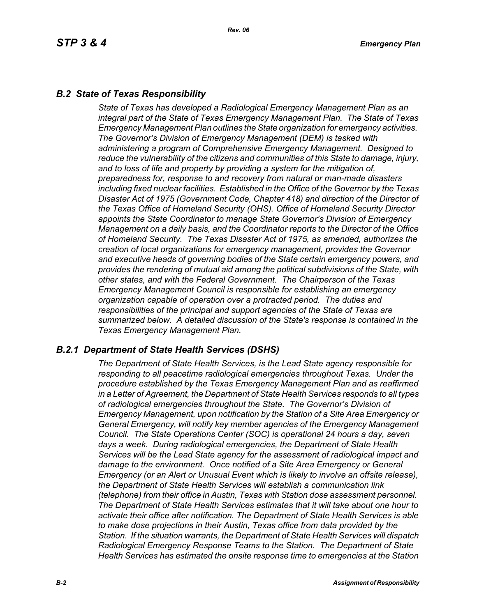# *B.2 State of Texas Responsibility*

*State of Texas has developed a Radiological Emergency Management Plan as an integral part of the State of Texas Emergency Management Plan. The State of Texas Emergency Management Plan outlines the State organization for emergency activities. The Governor's Division of Emergency Management (DEM) is tasked with administering a program of Comprehensive Emergency Management. Designed to reduce the vulnerability of the citizens and communities of this State to damage, injury, and to loss of life and property by providing a system for the mitigation of, preparedness for, response to and recovery from natural or man-made disasters including fixed nuclear facilities. Established in the Office of the Governor by the Texas Disaster Act of 1975 (Government Code, Chapter 418) and direction of the Director of the Texas Office of Homeland Security (OHS). Office of Homeland Security Director appoints the State Coordinator to manage State Governor's Division of Emergency Management on a daily basis, and the Coordinator reports to the Director of the Office of Homeland Security. The Texas Disaster Act of 1975, as amended, authorizes the creation of local organizations for emergency management, provides the Governor and executive heads of governing bodies of the State certain emergency powers, and provides the rendering of mutual aid among the political subdivisions of the State, with other states, and with the Federal Government. The Chairperson of the Texas Emergency Management Council is responsible for establishing an emergency organization capable of operation over a protracted period. The duties and responsibilities of the principal and support agencies of the State of Texas are summarized below. A detailed discussion of the State's response is contained in the Texas Emergency Management Plan.*

### *B.2.1 Department of State Health Services (DSHS)*

*The Department of State Health Services, is the Lead State agency responsible for responding to all peacetime radiological emergencies throughout Texas. Under the procedure established by the Texas Emergency Management Plan and as reaffirmed in a Letter of Agreement, the Department of State Health Services responds to all types of radiological emergencies throughout the State. The Governor's Division of Emergency Management, upon notification by the Station of a Site Area Emergency or General Emergency, will notify key member agencies of the Emergency Management Council. The State Operations Center (SOC) is operational 24 hours a day, seven days a week. During radiological emergencies, the Department of State Health Services will be the Lead State agency for the assessment of radiological impact and damage to the environment. Once notified of a Site Area Emergency or General Emergency (or an Alert or Unusual Event which is likely to involve an offsite release), the Department of State Health Services will establish a communication link (telephone) from their office in Austin, Texas with Station dose assessment personnel. The Department of State Health Services estimates that it will take about one hour to activate their office after notification. The Department of State Health Services is able to make dose projections in their Austin, Texas office from data provided by the Station. If the situation warrants, the Department of State Health Services will dispatch Radiological Emergency Response Teams to the Station. The Department of State Health Services has estimated the onsite response time to emergencies at the Station*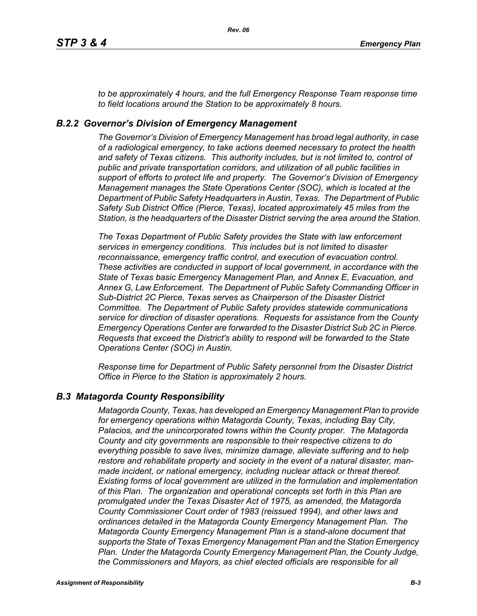*to be approximately 4 hours, and the full Emergency Response Team response time to field locations around the Station to be approximately 8 hours.*

### *B.2.2 Governor's Division of Emergency Management*

*The Governor's Division of Emergency Management has broad legal authority, in case of a radiological emergency, to take actions deemed necessary to protect the health and safety of Texas citizens. This authority includes, but is not limited to, control of public and private transportation corridors, and utilization of all public facilities in support of efforts to protect life and property. The Governor's Division of Emergency Management manages the State Operations Center (SOC), which is located at the Department of Public Safety Headquarters in Austin, Texas. The Department of Public Safety Sub District Office (Pierce, Texas), located approximately 45 miles from the Station, is the headquarters of the Disaster District serving the area around the Station.*

*The Texas Department of Public Safety provides the State with law enforcement services in emergency conditions. This includes but is not limited to disaster reconnaissance, emergency traffic control, and execution of evacuation control. These activities are conducted in support of local government, in accordance with the State of Texas basic Emergency Management Plan, and Annex E, Evacuation, and Annex G, Law Enforcement. The Department of Public Safety Commanding Officer in Sub-District 2C Pierce, Texas serves as Chairperson of the Disaster District Committee. The Department of Public Safety provides statewide communications service for direction of disaster operations. Requests for assistance from the County Emergency Operations Center are forwarded to the Disaster District Sub 2C in Pierce. Requests that exceed the District's ability to respond will be forwarded to the State Operations Center (SOC) in Austin.* 

*Response time for Department of Public Safety personnel from the Disaster District Office in Pierce to the Station is approximately 2 hours.*

### *B.3 Matagorda County Responsibility*

*Matagorda County, Texas, has developed an Emergency Management Plan to provide for emergency operations within Matagorda County, Texas, including Bay City, Palacios, and the unincorporated towns within the County proper. The Matagorda County and city governments are responsible to their respective citizens to do everything possible to save lives, minimize damage, alleviate suffering and to help restore and rehabilitate property and society in the event of a natural disaster, manmade incident, or national emergency, including nuclear attack or threat thereof. Existing forms of local government are utilized in the formulation and implementation of this Plan. The organization and operational concepts set forth in this Plan are promulgated under the Texas Disaster Act of 1975, as amended, the Matagorda County Commissioner Court order of 1983 (reissued 1994), and other laws and ordinances detailed in the Matagorda County Emergency Management Plan. The Matagorda County Emergency Management Plan is a stand-alone document that supports the State of Texas Emergency Management Plan and the Station Emergency Plan. Under the Matagorda County Emergency Management Plan, the County Judge, the Commissioners and Mayors, as chief elected officials are responsible for all*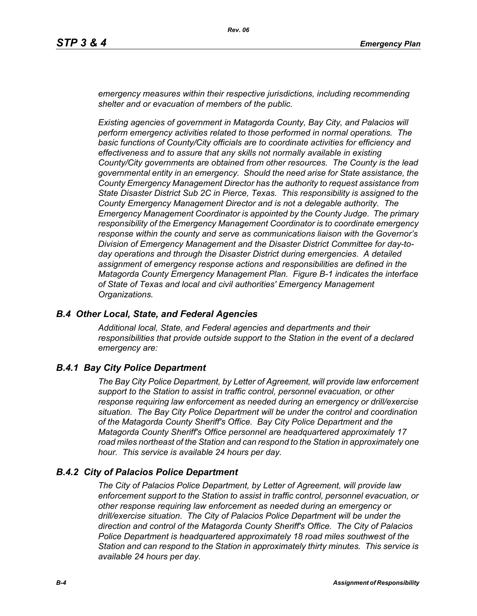*emergency measures within their respective jurisdictions, including recommending shelter and or evacuation of members of the public.* 

*Existing agencies of government in Matagorda County, Bay City, and Palacios will perform emergency activities related to those performed in normal operations. The basic functions of County/City officials are to coordinate activities for efficiency and effectiveness and to assure that any skills not normally available in existing County/City governments are obtained from other resources. The County is the lead governmental entity in an emergency. Should the need arise for State assistance, the County Emergency Management Director has the authority to request assistance from State Disaster District Sub 2C in Pierce, Texas. This responsibility is assigned to the County Emergency Management Director and is not a delegable authority. The Emergency Management Coordinator is appointed by the County Judge. The primary responsibility of the Emergency Management Coordinator is to coordinate emergency response within the county and serve as communications liaison with the Governor's Division of Emergency Management and the Disaster District Committee for day-today operations and through the Disaster District during emergencies. A detailed assignment of emergency response actions and responsibilities are defined in the Matagorda County Emergency Management Plan. Figure B-1 indicates the interface of State of Texas and local and civil authorities' Emergency Management Organizations.*

### *B.4 Other Local, State, and Federal Agencies*

*Additional local, State, and Federal agencies and departments and their responsibilities that provide outside support to the Station in the event of a declared emergency are:*

### *B.4.1 Bay City Police Department*

*The Bay City Police Department, by Letter of Agreement, will provide law enforcement support to the Station to assist in traffic control, personnel evacuation, or other response requiring law enforcement as needed during an emergency or drill/exercise situation. The Bay City Police Department will be under the control and coordination of the Matagorda County Sheriff's Office. Bay City Police Department and the Matagorda County Sheriff's Office personnel are headquartered approximately 17 road miles northeast of the Station and can respond to the Station in approximately one hour. This service is available 24 hours per day.*

### *B.4.2 City of Palacios Police Department*

*The City of Palacios Police Department, by Letter of Agreement, will provide law enforcement support to the Station to assist in traffic control, personnel evacuation, or other response requiring law enforcement as needed during an emergency or drill/exercise situation. The City of Palacios Police Department will be under the direction and control of the Matagorda County Sheriff's Office. The City of Palacios Police Department is headquartered approximately 18 road miles southwest of the Station and can respond to the Station in approximately thirty minutes. This service is available 24 hours per day.*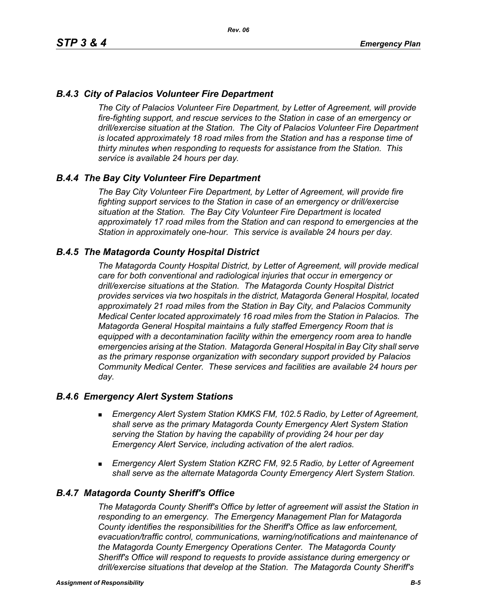# *B.4.3 City of Palacios Volunteer Fire Department*

*The City of Palacios Volunteer Fire Department, by Letter of Agreement, will provide fire-fighting support, and rescue services to the Station in case of an emergency or drill/exercise situation at the Station. The City of Palacios Volunteer Fire Department is located approximately 18 road miles from the Station and has a response time of thirty minutes when responding to requests for assistance from the Station. This service is available 24 hours per day.*

### *B.4.4 The Bay City Volunteer Fire Department*

*The Bay City Volunteer Fire Department, by Letter of Agreement, will provide fire fighting support services to the Station in case of an emergency or drill/exercise situation at the Station. The Bay City Volunteer Fire Department is located approximately 17 road miles from the Station and can respond to emergencies at the Station in approximately one-hour. This service is available 24 hours per day.*

### *B.4.5 The Matagorda County Hospital District*

*The Matagorda County Hospital District, by Letter of Agreement, will provide medical care for both conventional and radiological injuries that occur in emergency or drill/exercise situations at the Station. The Matagorda County Hospital District provides services via two hospitals in the district, Matagorda General Hospital, located approximately 21 road miles from the Station in Bay City, and Palacios Community Medical Center located approximately 16 road miles from the Station in Palacios. The Matagorda General Hospital maintains a fully staffed Emergency Room that is equipped with a decontamination facility within the emergency room area to handle emergencies arising at the Station. Matagorda General Hospital in Bay City shall serve as the primary response organization with secondary support provided by Palacios Community Medical Center. These services and facilities are available 24 hours per day.*

### *B.4.6 Emergency Alert System Stations*

- *Emergency Alert System Station KMKS FM, 102.5 Radio, by Letter of Agreement, shall serve as the primary Matagorda County Emergency Alert System Station serving the Station by having the capability of providing 24 hour per day Emergency Alert Service, including activation of the alert radios.*
- *Emergency Alert System Station KZRC FM, 92.5 Radio, by Letter of Agreement shall serve as the alternate Matagorda County Emergency Alert System Station.*

### *B.4.7 Matagorda County Sheriff's Office*

*The Matagorda County Sheriff's Office by letter of agreement will assist the Station in responding to an emergency. The Emergency Management Plan for Matagorda County identifies the responsibilities for the Sheriff's Office as law enforcement, evacuation/traffic control, communications, warning/notifications and maintenance of the Matagorda County Emergency Operations Center. The Matagorda County Sheriff's Office will respond to requests to provide assistance during emergency or drill/exercise situations that develop at the Station. The Matagorda County Sheriff's*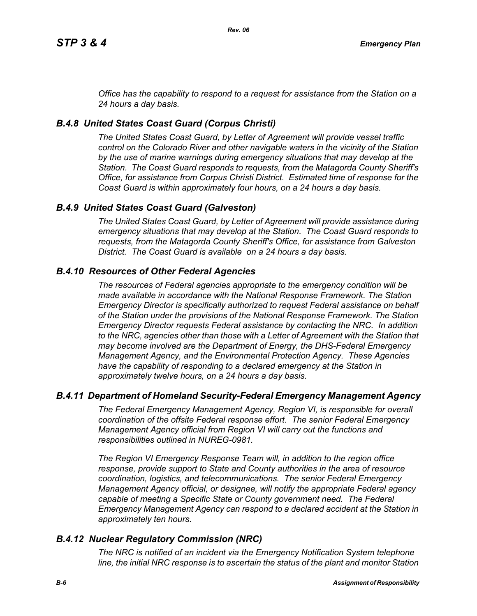*Office has the capability to respond to a request for assistance from the Station on a 24 hours a day basis.*

# *B.4.8 United States Coast Guard (Corpus Christi)*

*The United States Coast Guard, by Letter of Agreement will provide vessel traffic control on the Colorado River and other navigable waters in the vicinity of the Station by the use of marine warnings during emergency situations that may develop at the Station. The Coast Guard responds to requests, from the Matagorda County Sheriff's Office, for assistance from Corpus Christi District. Estimated time of response for the Coast Guard is within approximately four hours, on a 24 hours a day basis.*

# *B.4.9 United States Coast Guard (Galveston)*

*The United States Coast Guard, by Letter of Agreement will provide assistance during emergency situations that may develop at the Station. The Coast Guard responds to requests, from the Matagorda County Sheriff's Office, for assistance from Galveston District. The Coast Guard is available on a 24 hours a day basis.*

# *B.4.10 Resources of Other Federal Agencies*

*The resources of Federal agencies appropriate to the emergency condition will be made available in accordance with the National Response Framework. The Station Emergency Director is specifically authorized to request Federal assistance on behalf of the Station under the provisions of the National Response Framework. The Station Emergency Director requests Federal assistance by contacting the NRC. In addition*  to the NRC, agencies other than those with a Letter of Agreement with the Station that *may become involved are the Department of Energy, the DHS-Federal Emergency Management Agency, and the Environmental Protection Agency. These Agencies*  have the capability of responding to a declared emergency at the Station in *approximately twelve hours, on a 24 hours a day basis.*

### *B.4.11 Department of Homeland Security-Federal Emergency Management Agency*

*The Federal Emergency Management Agency, Region VI, is responsible for overall coordination of the offsite Federal response effort. The senior Federal Emergency Management Agency official from Region VI will carry out the functions and responsibilities outlined in NUREG-0981.*

*The Region VI Emergency Response Team will, in addition to the region office response, provide support to State and County authorities in the area of resource coordination, logistics, and telecommunications. The senior Federal Emergency Management Agency official, or designee, will notify the appropriate Federal agency*  capable of meeting a Specific State or County government need. The Federal *Emergency Management Agency can respond to a declared accident at the Station in approximately ten hours.*

### *B.4.12 Nuclear Regulatory Commission (NRC)*

*The NRC is notified of an incident via the Emergency Notification System telephone line, the initial NRC response is to ascertain the status of the plant and monitor Station*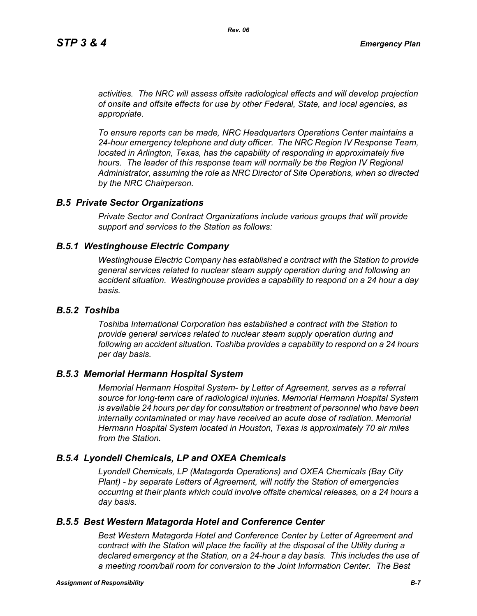*activities. The NRC will assess offsite radiological effects and will develop projection of onsite and offsite effects for use by other Federal, State, and local agencies, as appropriate.*

*To ensure reports can be made, NRC Headquarters Operations Center maintains a 24-hour emergency telephone and duty officer. The NRC Region IV Response Team, located in Arlington, Texas, has the capability of responding in approximately five* hours. The leader of this response team will normally be the Region IV Regional *Administrator, assuming the role as NRC Director of Site Operations, when so directed by the NRC Chairperson.*

#### *B.5 Private Sector Organizations*

*Private Sector and Contract Organizations include various groups that will provide support and services to the Station as follows:*

#### *B.5.1 Westinghouse Electric Company*

*Westinghouse Electric Company has established a contract with the Station to provide general services related to nuclear steam supply operation during and following an accident situation. Westinghouse provides a capability to respond on a 24 hour a day basis.* 

#### *B.5.2 Toshiba*

*Toshiba International Corporation has established a contract with the Station to provide general services related to nuclear steam supply operation during and following an accident situation. Toshiba provides a capability to respond on a 24 hours per day basis.*

#### *B.5.3 Memorial Hermann Hospital System*

*Memorial Hermann Hospital System- by Letter of Agreement, serves as a referral source for long-term care of radiological injuries. Memorial Hermann Hospital System is available 24 hours per day for consultation or treatment of personnel who have been*  internally contaminated or may have received an acute dose of radiation. Memorial *Hermann Hospital System located in Houston, Texas is approximately 70 air miles from the Station.*

### *B.5.4 Lyondell Chemicals, LP and OXEA Chemicals*

*Lyondell Chemicals, LP (Matagorda Operations) and OXEA Chemicals (Bay City Plant) - by separate Letters of Agreement, will notify the Station of emergencies occurring at their plants which could involve offsite chemical releases, on a 24 hours a day basis.*

### *B.5.5 Best Western Matagorda Hotel and Conference Center*

*Best Western Matagorda Hotel and Conference Center by Letter of Agreement and contract with the Station will place the facility at the disposal of the Utility during a declared emergency at the Station, on a 24-hour a day basis. This includes the use of a meeting room/ball room for conversion to the Joint Information Center. The Best*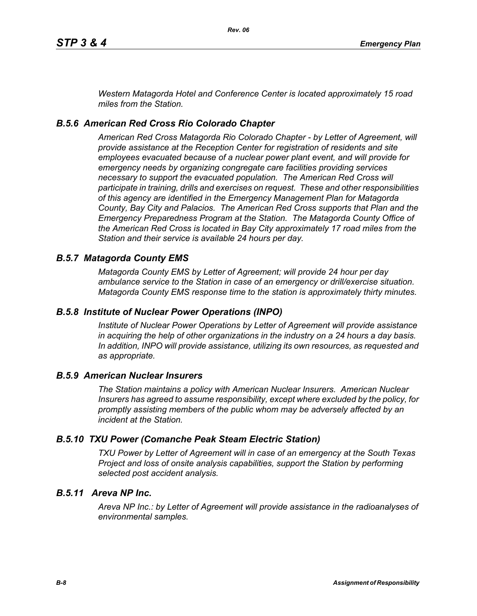*Western Matagorda Hotel and Conference Center is located approximately 15 road miles from the Station.*

#### *B.5.6 American Red Cross Rio Colorado Chapter*

*American Red Cross Matagorda Rio Colorado Chapter - by Letter of Agreement, will provide assistance at the Reception Center for registration of residents and site employees evacuated because of a nuclear power plant event, and will provide for emergency needs by organizing congregate care facilities providing services necessary to support the evacuated population. The American Red Cross will participate in training, drills and exercises on request. These and other responsibilities of this agency are identified in the Emergency Management Plan for Matagorda County, Bay City and Palacios. The American Red Cross supports that Plan and the Emergency Preparedness Program at the Station. The Matagorda County Office of the American Red Cross is located in Bay City approximately 17 road miles from the Station and their service is available 24 hours per day.*

#### *B.5.7 Matagorda County EMS*

*Matagorda County EMS by Letter of Agreement; will provide 24 hour per day ambulance service to the Station in case of an emergency or drill/exercise situation. Matagorda County EMS response time to the station is approximately thirty minutes.*

### *B.5.8 Institute of Nuclear Power Operations (INPO)*

*Institute of Nuclear Power Operations by Letter of Agreement will provide assistance in acquiring the help of other organizations in the industry on a 24 hours a day basis. In addition, INPO will provide assistance, utilizing its own resources, as requested and as appropriate.*

#### *B.5.9 American Nuclear Insurers*

*The Station maintains a policy with American Nuclear Insurers. American Nuclear Insurers has agreed to assume responsibility, except where excluded by the policy, for promptly assisting members of the public whom may be adversely affected by an incident at the Station.*

#### *B.5.10 TXU Power (Comanche Peak Steam Electric Station)*

*TXU Power by Letter of Agreement will in case of an emergency at the South Texas Project and loss of onsite analysis capabilities, support the Station by performing selected post accident analysis.*

### *B.5.11 Areva NP Inc.*

*Areva NP Inc.: by Letter of Agreement will provide assistance in the radioanalyses of environmental samples.*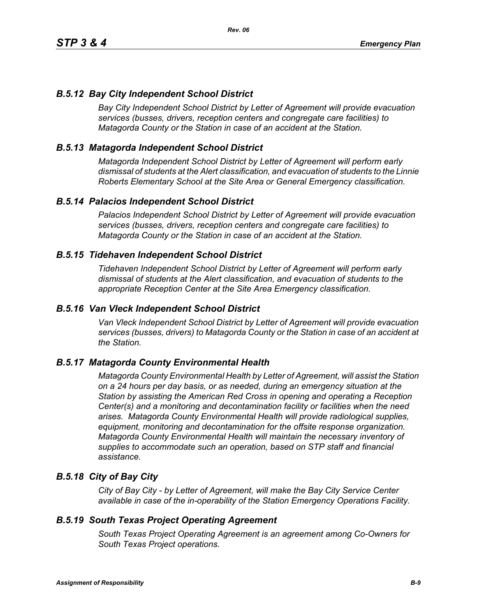# *B.5.12 Bay City Independent School District*

*Bay City Independent School District by Letter of Agreement will provide evacuation services (busses, drivers, reception centers and congregate care facilities) to Matagorda County or the Station in case of an accident at the Station.*

# *B.5.13 Matagorda Independent School District*

*Matagorda Independent School District by Letter of Agreement will perform early dismissal of students at the Alert classification, and evacuation of students to the Linnie Roberts Elementary School at the Site Area or General Emergency classification.*

### *B.5.14 Palacios Independent School District*

*Palacios Independent School District by Letter of Agreement will provide evacuation services (busses, drivers, reception centers and congregate care facilities) to Matagorda County or the Station in case of an accident at the Station.*

### *B.5.15 Tidehaven Independent School District*

*Tidehaven Independent School District by Letter of Agreement will perform early dismissal of students at the Alert classification, and evacuation of students to the appropriate Reception Center at the Site Area Emergency classification.*

### *B.5.16 Van Vleck Independent School District*

*Van Vleck Independent School District by Letter of Agreement will provide evacuation services (busses, drivers) to Matagorda County or the Station in case of an accident at the Station.*

### *B.5.17 Matagorda County Environmental Health*

*Matagorda County Environmental Health by Letter of Agreement, will assist the Station on a 24 hours per day basis, or as needed, during an emergency situation at the Station by assisting the American Red Cross in opening and operating a Reception Center(s) and a monitoring and decontamination facility or facilities when the need arises. Matagorda County Environmental Health will provide radiological supplies, equipment, monitoring and decontamination for the offsite response organization. Matagorda County Environmental Health will maintain the necessary inventory of supplies to accommodate such an operation, based on STP staff and financial assistance.*

### *B.5.18 City of Bay City*

*City of Bay City - by Letter of Agreement, will make the Bay City Service Center available in case of the in-operability of the Station Emergency Operations Facility.*

### *B.5.19 South Texas Project Operating Agreement*

*South Texas Project Operating Agreement is an agreement among Co-Owners for South Texas Project operations.*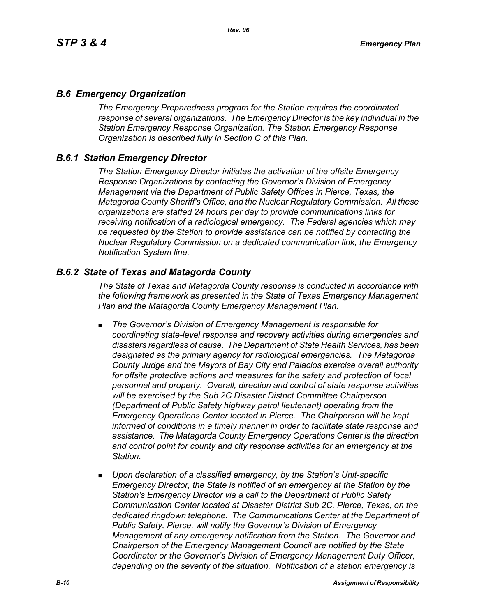### *B.6 Emergency Organization*

*The Emergency Preparedness program for the Station requires the coordinated response of several organizations. The Emergency Director is the key individual in the Station Emergency Response Organization. The Station Emergency Response Organization is described fully in Section C of this Plan.*

# *B.6.1 Station Emergency Director*

*The Station Emergency Director initiates the activation of the offsite Emergency Response Organizations by contacting the Governor's Division of Emergency Management via the Department of Public Safety Offices in Pierce, Texas, the Matagorda County Sheriff's Office, and the Nuclear Regulatory Commission. All these organizations are staffed 24 hours per day to provide communications links for receiving notification of a radiological emergency. The Federal agencies which may be requested by the Station to provide assistance can be notified by contacting the Nuclear Regulatory Commission on a dedicated communication link, the Emergency Notification System line.*

### *B.6.2 State of Texas and Matagorda County*

*The State of Texas and Matagorda County response is conducted in accordance with the following framework as presented in the State of Texas Emergency Management Plan and the Matagorda County Emergency Management Plan.*

- *The Governor's Division of Emergency Management is responsible for coordinating state-level response and recovery activities during emergencies and disasters regardless of cause. The Department of State Health Services, has been designated as the primary agency for radiological emergencies. The Matagorda County Judge and the Mayors of Bay City and Palacios exercise overall authority*  for offsite protective actions and measures for the safety and protection of local *personnel and property. Overall, direction and control of state response activities will be exercised by the Sub 2C Disaster District Committee Chairperson (Department of Public Safety highway patrol lieutenant) operating from the Emergency Operations Center located in Pierce. The Chairperson will be kept informed of conditions in a timely manner in order to facilitate state response and assistance. The Matagorda County Emergency Operations Center is the direction and control point for county and city response activities for an emergency at the Station.*
- *Upon declaration of a classified emergency, by the Station's Unit-specific Emergency Director, the State is notified of an emergency at the Station by the Station's Emergency Director via a call to the Department of Public Safety Communication Center located at Disaster District Sub 2C, Pierce, Texas, on the dedicated ringdown telephone. The Communications Center at the Department of Public Safety, Pierce, will notify the Governor's Division of Emergency Management of any emergency notification from the Station. The Governor and Chairperson of the Emergency Management Council are notified by the State Coordinator or the Governor's Division of Emergency Management Duty Officer, depending on the severity of the situation. Notification of a station emergency is*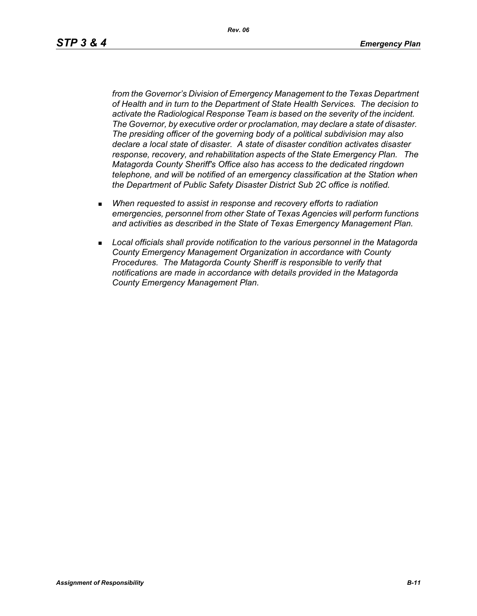*Rev. 06*

*from the Governor's Division of Emergency Management to the Texas Department of Health and in turn to the Department of State Health Services. The decision to activate the Radiological Response Team is based on the severity of the incident. The Governor, by executive order or proclamation, may declare a state of disaster. The presiding officer of the governing body of a political subdivision may also declare a local state of disaster. A state of disaster condition activates disaster response, recovery, and rehabilitation aspects of the State Emergency Plan. The Matagorda County Sheriff's Office also has access to the dedicated ringdown telephone, and will be notified of an emergency classification at the Station when the Department of Public Safety Disaster District Sub 2C office is notified.*

- *When requested to assist in response and recovery efforts to radiation emergencies, personnel from other State of Texas Agencies will perform functions and activities as described in the State of Texas Emergency Management Plan.*
- *Local officials shall provide notification to the various personnel in the Matagorda County Emergency Management Organization in accordance with County Procedures. The Matagorda County Sheriff is responsible to verify that notifications are made in accordance with details provided in the Matagorda County Emergency Management Plan.*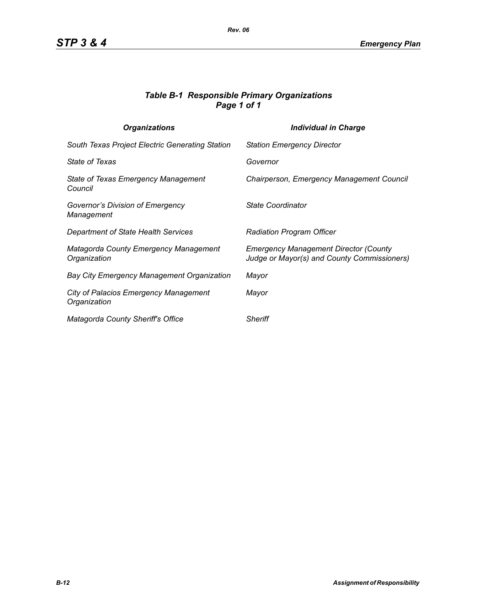### *Table B-1 Responsible Primary Organizations Page 1 of 1*

| <b>Organizations</b>                                  | Individual in Charge                                                                        |
|-------------------------------------------------------|---------------------------------------------------------------------------------------------|
| South Texas Project Electric Generating Station       | <b>Station Emergency Director</b>                                                           |
| State of Texas                                        | Governor                                                                                    |
| State of Texas Emergency Management<br>Council        | Chairperson, Emergency Management Council                                                   |
| Governor's Division of Emergency<br>Management        | State Coordinator                                                                           |
| Department of State Health Services                   | <b>Radiation Program Officer</b>                                                            |
| Matagorda County Emergency Management<br>Organization | <b>Emergency Management Director (County</b><br>Judge or Mayor(s) and County Commissioners) |
| Bay City Emergency Management Organization            | Mayor                                                                                       |
| City of Palacios Emergency Management<br>Organization | Mayor                                                                                       |
| Matagorda County Sheriff's Office                     | <b>Sheriff</b>                                                                              |